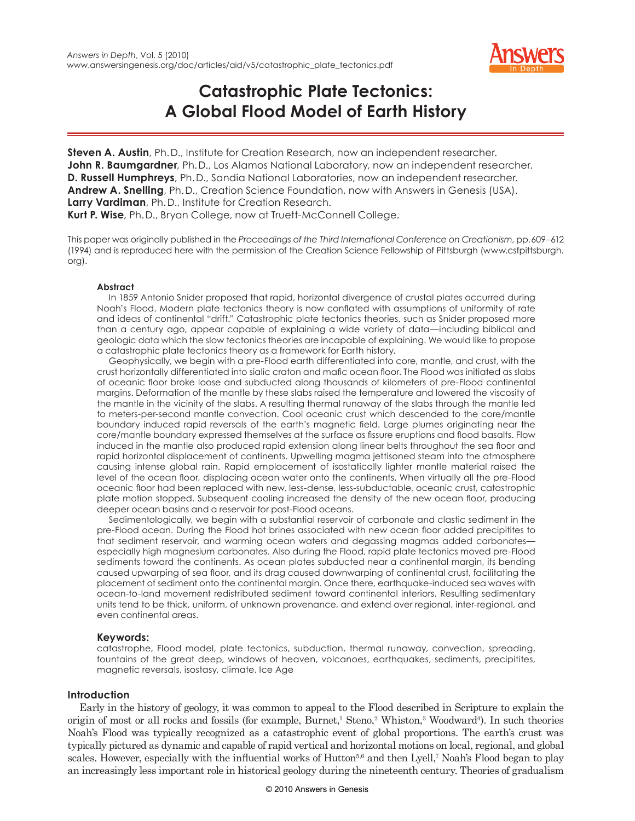

# **Catastrophic Plate Tectonics: A Global Flood Model of Earth History**

**Steven A. Austin**, Ph. D., Institute for Creation Research, now an independent researcher. John R. Baumgardner, Ph. D., Los Alamos National Laboratory, now an independent researcher. **D. Russell Humphreys**, Ph. D., Sandia National Laboratories, now an independent researcher. **Andrew A. Snelling**, Ph. D., Creation Science Foundation, now with Answers in Genesis (USA). **Larry Vardiman**, Ph. D., Institute for Creation Research. **Kurt P. Wise**, Ph. D., Bryan College, now at Truett-McConnell College.

This paper was originally published in the *Proceedings of the Third International Conference on Creationism*, pp. 609–612 (1994) and is reproduced here with the permission of the Creation Science Fellowship of Pittsburgh (www.csfpittsburgh. org).

#### **Abstract**

In 1859 Antonio Snider proposed that rapid, horizontal divergence of crustal plates occurred during Noah's Flood. Modern plate tectonics theory is now conflated with assumptions of uniformity of rate and ideas of continental "drift." Catastrophic plate tectonics theories, such as Snider proposed more than a century ago, appear capable of explaining a wide variety of data—including biblical and geologic data which the slow tectonics theories are incapable of explaining. We would like to propose a catastrophic plate tectonics theory as a framework for Earth history.

Geophysically, we begin with a pre-Flood earth differentiated into core, mantle, and crust, with the crust horizontally differentiated into sialic craton and mafic ocean floor. The Flood was initiated as slabs of oceanic floor broke loose and subducted along thousands of kilometers of pre-Flood continental margins. Deformation of the mantle by these slabs raised the temperature and lowered the viscosity of the mantle in the vicinity of the slabs. A resulting thermal runaway of the slabs through the mantle led to meters-per-second mantle convection. Cool oceanic crust which descended to the core/mantle boundary induced rapid reversals of the earth's magnetic field. Large plumes originating near the core/mantle boundary expressed themselves at the surface as fissure eruptions and flood basalts. Flow induced in the mantle also produced rapid extension along linear belts throughout the sea floor and rapid horizontal displacement of continents. Upwelling magma jettisoned steam into the atmosphere causing intense global rain. Rapid emplacement of isostatically lighter mantle material raised the level of the ocean floor, displacing ocean water onto the continents. When virtually all the pre-Flood oceanic floor had been replaced with new, less-dense, less-subductable, oceanic crust, catastrophic plate motion stopped. Subsequent cooling increased the density of the new ocean floor, producing deeper ocean basins and a reservoir for post-Flood oceans.

Sedimentologically, we begin with a substantial reservoir of carbonate and clastic sediment in the pre-Flood ocean. During the Flood hot brines associated with new ocean floor added precipitites to that sediment reservoir, and warming ocean waters and degassing magmas added carbonates especially high magnesium carbonates. Also during the Flood, rapid plate tectonics moved pre-Flood sediments toward the continents. As ocean plates subducted near a continental margin, its bending caused upwarping of sea floor, and its drag caused downwarping of continental crust, facilitating the placement of sediment onto the continental margin. Once there, earthquake-induced sea waves with ocean-to-land movement redistributed sediment toward continental interiors. Resulting sedimentary units tend to be thick, uniform, of unknown provenance, and extend over regional, inter-regional, and even continental areas.

#### **Keywords:**

catastrophe, Flood model, plate tectonics, subduction, thermal runaway, convection, spreading, fountains of the great deep, windows of heaven, volcanoes, earthquakes, sediments, precipitites, magnetic reversals, isostasy, climate, Ice Age

#### **Introduction**

Early in the history of geology, it was common to appeal to the Flood described in Scripture to explain the origin of most or all rocks and fossils (for example, Burnet,<sup>1</sup> Steno,<sup>2</sup> Whiston,<sup>3</sup> Woodward<sup>4</sup>). In such theories Noah's Flood was typically recognized as a catastrophic event of global proportions. The earth's crust was typically pictured as dynamic and capable of rapid vertical and horizontal motions on local, regional, and global scales. However, especially with the influential works of Hutton<sup>5,6</sup> and then Lyell,<sup>7</sup> Noah's Flood began to play an increasingly less important role in historical geology during the nineteenth century. Theories of gradualism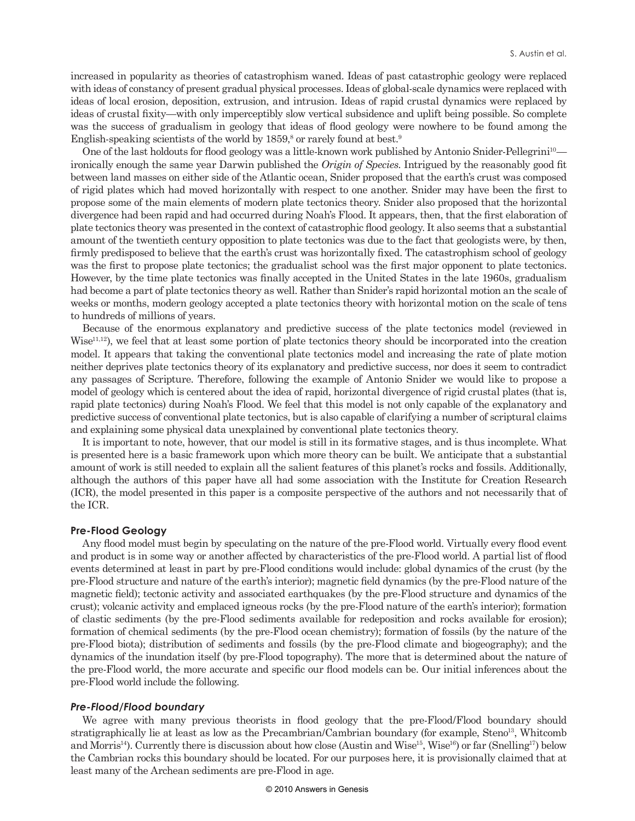increased in popularity as theories of catastrophism waned. Ideas of past catastrophic geology were replaced with ideas of constancy of present gradual physical processes. Ideas of global-scale dynamics were replaced with ideas of local erosion, deposition, extrusion, and intrusion. Ideas of rapid crustal dynamics were replaced by ideas of crustal fixity—with only imperceptibly slow vertical subsidence and uplift being possible. So complete was the success of gradualism in geology that ideas of flood geology were nowhere to be found among the English-speaking scientists of the world by  $1859$ ,<sup>8</sup> or rarely found at best.<sup>9</sup>

One of the last holdouts for flood geology was a little-known work published by Antonio Snider-Pellegrini<sup>10</sup> ironically enough the same year Darwin published the *Origin of Species.* Intrigued by the reasonably good fit between land masses on either side of the Atlantic ocean, Snider proposed that the earth's crust was composed of rigid plates which had moved horizontally with respect to one another. Snider may have been the first to propose some of the main elements of modern plate tectonics theory. Snider also proposed that the horizontal divergence had been rapid and had occurred during Noah's Flood. It appears, then, that the first elaboration of plate tectonics theory was presented in the context of catastrophic flood geology. It also seems that a substantial amount of the twentieth century opposition to plate tectonics was due to the fact that geologists were, by then, firmly predisposed to believe that the earth's crust was horizontally fixed. The catastrophism school of geology was the first to propose plate tectonics; the gradualist school was the first major opponent to plate tectonics. However, by the time plate tectonics was finally accepted in the United States in the late 1960s, gradualism had become a part of plate tectonics theory as well. Rather than Snider's rapid horizontal motion an the scale of weeks or months, modern geology accepted a plate tectonics theory with horizontal motion on the scale of tens to hundreds of millions of years.

Because of the enormous explanatory and predictive success of the plate tectonics model (reviewed in Wise<sup>11,12</sup>), we feel that at least some portion of plate tectonics theory should be incorporated into the creation model. It appears that taking the conventional plate tectonics model and increasing the rate of plate motion neither deprives plate tectonics theory of its explanatory and predictive success, nor does it seem to contradict any passages of Scripture. Therefore, following the example of Antonio Snider we would like to propose a model of geology which is centered about the idea of rapid, horizontal divergence of rigid crustal plates (that is, rapid plate tectonics) during Noah's Flood. We feel that this model is not only capable of the explanatory and predictive success of conventional plate tectonics, but is also capable of clarifying a number of scriptural claims and explaining some physical data unexplained by conventional plate tectonics theory.

It is important to note, however, that our model is still in its formative stages, and is thus incomplete. What is presented here is a basic framework upon which more theory can be built. We anticipate that a substantial amount of work is still needed to explain all the salient features of this planet's rocks and fossils. Additionally, although the authors of this paper have all had some association with the Institute for Creation Research (ICR), the model presented in this paper is a composite perspective of the authors and not necessarily that of the ICR.

#### **Pre-Flood Geology**

Any flood model must begin by speculating on the nature of the pre-Flood world. Virtually every flood event and product is in some way or another affected by characteristics of the pre-Flood world. A partial list of flood events determined at least in part by pre-Flood conditions would include: global dynamics of the crust (by the pre-Flood structure and nature of the earth's interior); magnetic field dynamics (by the pre-Flood nature of the magnetic field); tectonic activity and associated earthquakes (by the pre-Flood structure and dynamics of the crust); volcanic activity and emplaced igneous rocks (by the pre-Flood nature of the earth's interior); formation of clastic sediments (by the pre-Flood sediments available for redeposition and rocks available for erosion); formation of chemical sediments (by the pre-Flood ocean chemistry); formation of fossils (by the nature of the pre-Flood biota); distribution of sediments and fossils (by the pre-Flood climate and biogeography); and the dynamics of the inundation itself (by pre-Flood topography). The more that is determined about the nature of the pre-Flood world, the more accurate and specific our flood models can be. Our initial inferences about the pre-Flood world include the following.

#### *Pre-Flood/Flood boundary*

We agree with many previous theorists in flood geology that the pre-Flood/Flood boundary should stratigraphically lie at least as low as the Precambrian/Cambrian boundary (for example, Steno<sup>13</sup>, Whitcomb and Morris<sup>14</sup>). Currently there is discussion about how close (Austin and Wise<sup>15</sup>, Wise<sup>16</sup>) or far (Snelling<sup>17</sup>) below the Cambrian rocks this boundary should be located. For our purposes here, it is provisionally claimed that at least many of the Archean sediments are pre-Flood in age.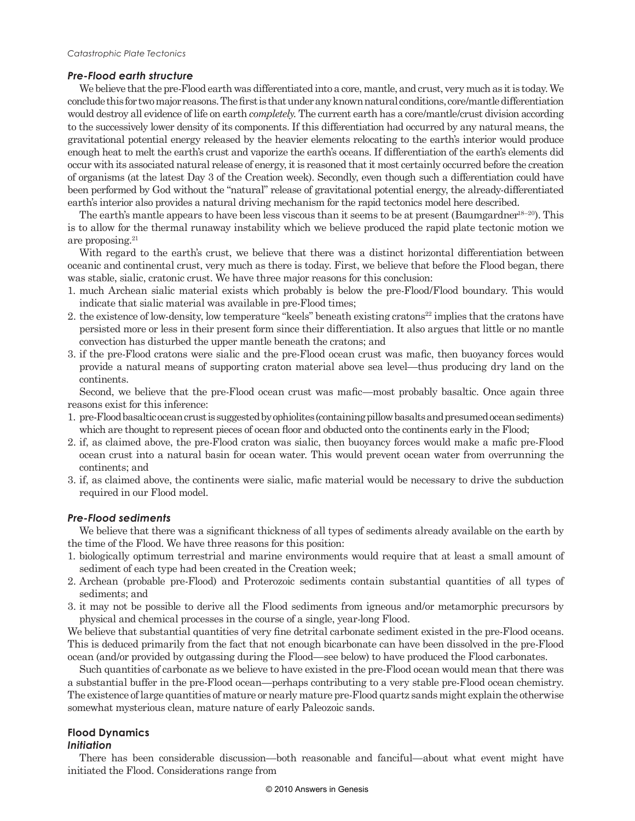# *Pre-Flood earth structure*

We believe that the pre-Flood earth was differentiated into a core, mantle, and crust, very much as it is today. We conclude this for two major reasons. The first is that under any known natural conditions, core/mantle differentiation would destroy all evidence of life on earth *completely.* The current earth has a core/mantle/crust division according to the successively lower density of its components. If this differentiation had occurred by any natural means, the gravitational potential energy released by the heavier elements relocating to the earth's interior would produce enough heat to melt the earth's crust and vaporize the earth's oceans. If differentiation of the earth's elements did occur with its associated natural release of energy, it is reasoned that it most certainly occurred before the creation of organisms (at the latest Day 3 of the Creation week). Secondly, even though such a differentiation could have been performed by God without the "natural" release of gravitational potential energy, the already-differentiated earth's interior also provides a natural driving mechanism for the rapid tectonics model here described.

The earth's mantle appears to have been less viscous than it seems to be at present (Baumgardner<sup>18–20</sup>). This is to allow for the thermal runaway instability which we believe produced the rapid plate tectonic motion we are proposing.<sup>21</sup>

With regard to the earth's crust, we believe that there was a distinct horizontal differentiation between oceanic and continental crust, very much as there is today. First, we believe that before the Flood began, there was stable, sialic, cratonic crust. We have three major reasons for this conclusion:

- 1. much Archean sialic material exists which probably is below the pre-Flood/Flood boundary. This would indicate that sialic material was available in pre-Flood times;
- 2. the existence of low-density, low temperature "keels" beneath existing cratons<sup>22</sup> implies that the cratons have persisted more or less in their present form since their differentiation. It also argues that little or no mantle convection has disturbed the upper mantle beneath the cratons; and
- 3. if the pre-Flood cratons were sialic and the pre-Flood ocean crust was mafic, then buoyancy forces would provide a natural means of supporting craton material above sea level—thus producing dry land on the continents.

Second, we believe that the pre-Flood ocean crust was mafic—most probably basaltic. Once again three reasons exist for this inference:

- 1. pre-Flood basaltic ocean crust is suggested by ophiolites (containing pillow basalts and presumed ocean sediments) which are thought to represent pieces of ocean floor and obducted onto the continents early in the Flood;
- 2. if, as claimed above, the pre-Flood craton was sialic, then buoyancy forces would make a mafic pre-Flood ocean crust into a natural basin for ocean water. This would prevent ocean water from overrunning the continents; and
- 3. if, as claimed above, the continents were sialic, mafic material would be necessary to drive the subduction required in our Flood model.

# *Pre-Flood sediments*

We believe that there was a significant thickness of all types of sediments already available on the earth by the time of the Flood. We have three reasons for this position:

- 1. biologically optimum terrestrial and marine environments would require that at least a small amount of sediment of each type had been created in the Creation week;
- 2. Archean (probable pre-Flood) and Proterozoic sediments contain substantial quantities of all types of sediments; and
- 3. it may not be possible to derive all the Flood sediments from igneous and/or metamorphic precursors by physical and chemical processes in the course of a single, year-long Flood.

We believe that substantial quantities of very fine detrital carbonate sediment existed in the pre-Flood oceans. This is deduced primarily from the fact that not enough bicarbonate can have been dissolved in the pre-Flood ocean (and/or provided by outgassing during the Flood—see below) to have produced the Flood carbonates.

Such quantities of carbonate as we believe to have existed in the pre-Flood ocean would mean that there was a substantial buffer in the pre-Flood ocean—perhaps contributing to a very stable pre-Flood ocean chemistry. The existence of large quantities of mature or nearly mature pre-Flood quartz sands might explain the otherwise somewhat mysterious clean, mature nature of early Paleozoic sands.

#### **Flood Dynamics** *Initiation*

There has been considerable discussion—both reasonable and fanciful—about what event might have initiated the Flood. Considerations range from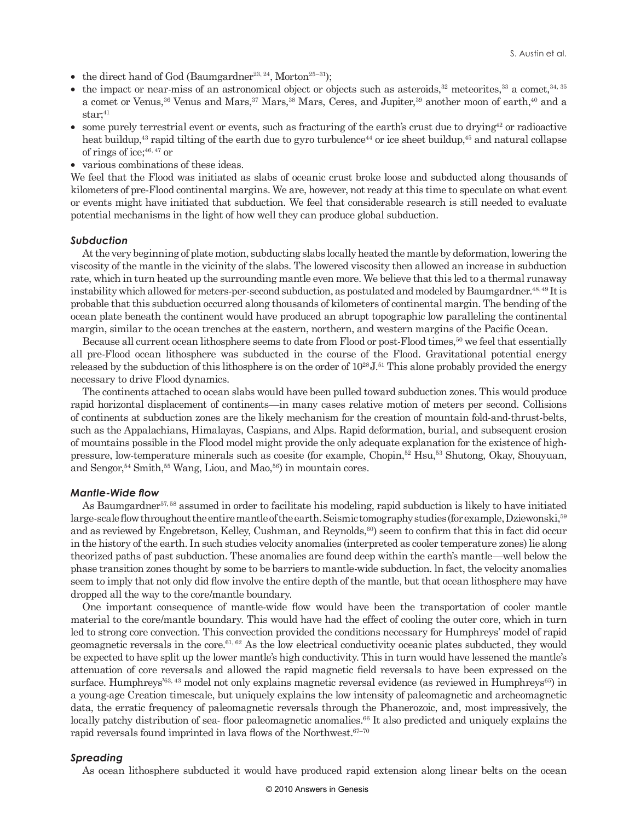- the direct hand of God (Baumgardner<sup>23, 24</sup>, Morton<sup>25-31</sup>);
- the impact or near-miss of an astronomical object or objects such as asteroids, $32$  meteorites,  $33$  a comet,  $34$ ,  $35$ a comet or Venus,<sup>36</sup> Venus and Mars,<sup>37</sup> Mars,<sup>38</sup> Mars, Ceres, and Jupiter,<sup>39</sup> another moon of earth,<sup>40</sup> and a  $star;$ <sup>41</sup>
- some purely terrestrial event or events, such as fracturing of the earth's crust due to drying $42$  or radioactive heat buildup,<sup>43</sup> rapid tilting of the earth due to gyro turbulence<sup>44</sup> or ice sheet buildup,<sup>45</sup> and natural collapse of rings of ice;  $46, 47$  or
- various combinations of these ideas.

We feel that the Flood was initiated as slabs of oceanic crust broke loose and subducted along thousands of kilometers of pre-Flood continental margins. We are, however, not ready at this time to speculate on what event or events might have initiated that subduction. We feel that considerable research is still needed to evaluate potential mechanisms in the light of how well they can produce global subduction.

#### *Subduction*

At the very beginning of plate motion, subducting slabs locally heated the mantle by deformation, lowering the viscosity of the mantle in the vicinity of the slabs. The lowered viscosity then allowed an increase in subduction rate, which in turn heated up the surrounding mantle even more. We believe that this led to a thermal runaway instability which allowed for meters-per-second subduction, as postulated and modeled by Baumgardner.<sup>48, 49</sup> It is probable that this subduction occurred along thousands of kilometers of continental margin. The bending of the ocean plate beneath the continent would have produced an abrupt topographic low paralleling the continental margin, similar to the ocean trenches at the eastern, northern, and western margins of the Pacific Ocean.

Because all current ocean lithosphere seems to date from Flood or post-Flood times,<sup>50</sup> we feel that essentially all pre-Flood ocean lithosphere was subducted in the course of the Flood. Gravitational potential energy released by the subduction of this lithosphere is on the order of  $10^{28}$  J.<sup>51</sup> This alone probably provided the energy necessary to drive Flood dynamics.

The continents attached to ocean slabs would have been pulled toward subduction zones. This would produce rapid horizontal displacement of continents—in many cases relative motion of meters per second. Collisions of continents at subduction zones are the likely mechanism for the creation of mountain fold-and-thrust-belts, such as the Appalachians, Himalayas, Caspians, and Alps. Rapid deformation, burial, and subsequent erosion of mountains possible in the Flood model might provide the only adequate explanation for the existence of highpressure, low-temperature minerals such as coesite (for example, Chopin,52 Hsu,53 Shutong, Okay, Shouyuan, and Sengor,  $54$  Smith,  $55$  Wang, Liou, and Mao,  $56$ ) in mountain cores.

#### *Mantle-Wide flow*

As Baumgardner<sup>57, 58</sup> assumed in order to facilitate his modeling, rapid subduction is likely to have initiated large-scale flow throughout the entire mantle of the earth. Seismic tomography studies (for example, Dziewonski,<sup>59</sup> and as reviewed by Engebretson, Kelley, Cushman, and Reynolds,<sup>60</sup>) seem to confirm that this in fact did occur in the history of the earth. In such studies velocity anomalies (interpreted as cooler temperature zones) lie along theorized paths of past subduction. These anomalies are found deep within the earth's mantle—well below the phase transition zones thought by some to be barriers to mantle-wide subduction. ln fact, the velocity anomalies seem to imply that not only did flow involve the entire depth of the mantle, but that ocean lithosphere may have dropped all the way to the core/mantle boundary.

One important consequence of mantle-wide flow would have been the transportation of cooler mantle material to the core/mantle boundary. This would have had the effect of cooling the outer core, which in turn led to strong core convection. This convection provided the conditions necessary for Humphreys' model of rapid geomagnetic reversals in the core.61, 62 As the low electrical conductivity oceanic plates subducted, they would be expected to have split up the lower mantle's high conductivity. This in turn would have lessened the mantle's attenuation of core reversals and allowed the rapid magnetic field reversals to have been expressed on the surface. Humphreys<sup>'63, 43</sup> model not only explains magnetic reversal evidence (as reviewed in Humphreys<sup>65</sup>) in a young-age Creation timescale, but uniquely explains the low intensity of paleomagnetic and archeomagnetic data, the erratic frequency of paleomagnetic reversals through the Phanerozoic, and, most impressively, the locally patchy distribution of sea-floor paleomagnetic anomalies.<sup>66</sup> It also predicted and uniquely explains the rapid reversals found imprinted in lava flows of the Northwest.<sup>67-70</sup>

#### *Spreading*

As ocean lithosphere subducted it would have produced rapid extension along linear belts on the ocean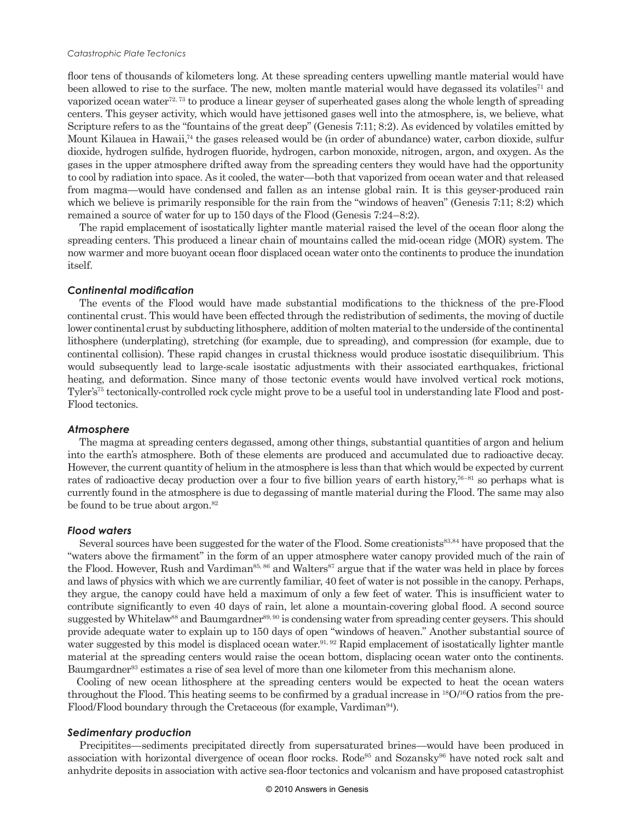#### *Catastrophic Plate Tectonics*

floor tens of thousands of kilometers long. At these spreading centers upwelling mantle material would have been allowed to rise to the surface. The new, molten mantle material would have degassed its volatiles<sup>71</sup> and vaporized ocean water<sup>72, 73</sup> to produce a linear geyser of superheated gases along the whole length of spreading centers. This geyser activity, which would have jettisoned gases well into the atmosphere, is, we believe, what Scripture refers to as the "fountains of the great deep" (Genesis 7:11; 8:2). As evidenced by volatiles emitted by Mount Kilauea in Hawaii,<sup>74</sup> the gases released would be (in order of abundance) water, carbon dioxide, sulfur dioxide, hydrogen sulfide, hydrogen fluoride, hydrogen, carbon monoxide, nitrogen, argon, and oxygen. As the gases in the upper atmosphere drifted away from the spreading centers they would have had the opportunity to cool by radiation into space. As it cooled, the water—both that vaporized from ocean water and that released from magma—would have condensed and fallen as an intense global rain. It is this geyser-produced rain which we believe is primarily responsible for the rain from the "windows of heaven" (Genesis 7:11; 8:2) which remained a source of water for up to 150 days of the Flood (Genesis 7:24–8:2).

The rapid emplacement of isostatically lighter mantle material raised the level of the ocean floor along the spreading centers. This produced a linear chain of mountains called the mid-ocean ridge (MOR) system. The now warmer and more buoyant ocean floor displaced ocean water onto the continents to produce the inundation itself.

#### *Continental modification*

The events of the Flood would have made substantial modifications to the thickness of the pre-Flood continental crust. This would have been effected through the redistribution of sediments, the moving of ductile lower continental crust by subducting lithosphere, addition of molten material to the underside of the continental lithosphere (underplating), stretching (for example, due to spreading), and compression (for example, due to continental collision). These rapid changes in crustal thickness would produce isostatic disequilibrium. This would subsequently lead to large-scale isostatic adjustments with their associated earthquakes, frictional heating, and deformation. Since many of those tectonic events would have involved vertical rock motions, Tyler's<sup>75</sup> tectonically-controlled rock cycle might prove to be a useful tool in understanding late Flood and post-Flood tectonics.

#### *Atmosphere*

The magma at spreading centers degassed, among other things, substantial quantities of argon and helium into the earth's atmosphere. Both of these elements are produced and accumulated due to radioactive decay. However, the current quantity of helium in the atmosphere is less than that which would be expected by current rates of radioactive decay production over a four to five billion years of earth history, $76-81$  so perhaps what is currently found in the atmosphere is due to degassing of mantle material during the Flood. The same may also be found to be true about argon.<sup>82</sup>

#### *Flood waters*

Several sources have been suggested for the water of the Flood. Some creationists<sup>83,84</sup> have proposed that the "waters above the firmament" in the form of an upper atmosphere water canopy provided much of the rain of the Flood. However, Rush and Vardiman<sup>85, 86</sup> and Walters<sup>87</sup> argue that if the water was held in place by forces and laws of physics with which we are currently familiar, 40 feet of water is not possible in the canopy. Perhaps, they argue, the canopy could have held a maximum of only a few feet of water. This is insufficient water to contribute significantly to even 40 days of rain, let alone a mountain-covering global flood. A second source suggested by Whitelaw<sup>88</sup> and Baumgardner<sup>89, 90</sup> is condensing water from spreading center geysers. This should provide adequate water to explain up to 150 days of open "windows of heaven." Another substantial source of water suggested by this model is displaced ocean water.<sup>91, 92</sup> Rapid emplacement of isostatically lighter mantle material at the spreading centers would raise the ocean bottom, displacing ocean water onto the continents. Baumgardner<sup>93</sup> estimates a rise of sea level of more than one kilometer from this mechanism alone.

Cooling of new ocean lithosphere at the spreading centers would be expected to heat the ocean waters throughout the Flood. This heating seems to be confirmed by a gradual increase in  $^{18}O/^{16}O$  ratios from the pre-Flood/Flood boundary through the Cretaceous (for example, Vardiman<sup>94</sup>).

#### *Sedimentary production*

Precipitites—sediments precipitated directly from supersaturated brines—would have been produced in association with horizontal divergence of ocean floor rocks. Rode95 and Sozansky96 have noted rock salt and anhydrite deposits in association with active sea-floor tectonics and volcanism and have proposed catastrophist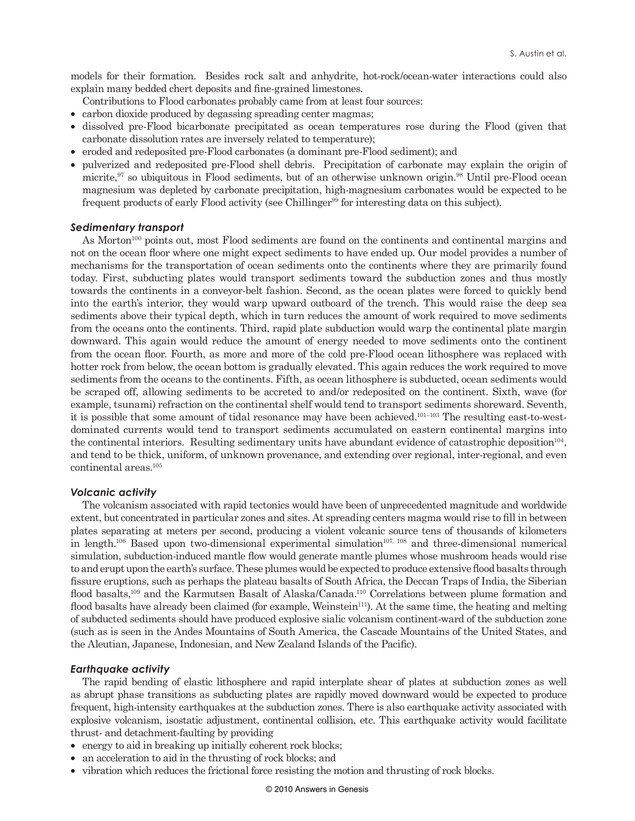models for their formation. Besides rock salt and anhydrite, hot-rock/ocean-water interactions could also explain many bedded chert deposits and fine-grained limestones.

- Contributions to Flood carbonates probably came from at least four sources:
- carbon dioxide produced by degassing spreading center magmas;
- dissolved pre-Flood bicarbonate precipitated as ocean temperatures rose during the Flood (given that carbonate dissolution rates are inversely related to temperature);
- eroded and redeposited pre-Flood carbonates (a dominant pre-Flood sediment); and
- pulverized and redeposited pre-Flood shell debris. Precipitation of carbonate may explain the origin of micrite,<sup>97</sup> so ubiquitous in Flood sediments, but of an otherwise unknown origin.<sup>98</sup> Until pre-Flood ocean magnesium was depleted by carbonate precipitation, high-magnesium carbonates would be expected to be frequent products of early Flood activity (see Chillinger<sup>99</sup> for interesting data on this subject).

## *Sedimentary transport*

As Morton<sup>100</sup> points out, most Flood sediments are found on the continents and continental margins and not on the ocean floor where one might expect sediments to have ended up. Our model provides a number of mechanisms for the transportation of ocean sediments onto the continents where they are primarily found today. First, subducting plates would transport sediments toward the subduction zones and thus mostly towards the continents in a conveyor-belt fashion. Second, as the ocean plates were forced to quickly bend into the earth's interior, they would warp upward outboard of the trench. This would raise the deep sea sediments above their typical depth, which in turn reduces the amount of work required to move sediments from the oceans onto the continents. Third, rapid plate subduction would warp the continental plate margin downward. This again would reduce the amount of energy needed to move sediments onto the continent from the ocean floor. Fourth, as more and more of the cold pre-Flood ocean lithosphere was replaced with hotter rock from below, the ocean bottom is gradually elevated. This again reduces the work required to move sediments from the oceans to the continents. Fifth, as ocean lithosphere is subducted, ocean sediments would be scraped off, allowing sediments to be accreted to and/or redeposited on the continent. Sixth, wave (for example, tsunami) refraction on the continental shelf would tend to transport sediments shoreward. Seventh, it is possible that some amount of tidal resonance may have been achieved.101–103 The resulting east-to-westdominated currents would tend to transport sediments accumulated on eastern continental margins into the continental interiors. Resulting sedimentary units have abundant evidence of catastrophic deposition<sup>104</sup>, and tend to be thick, uniform, of unknown provenance, and extending over regional, inter-regional, and even continental areas.105

#### *Volcanic activity*

The volcanism associated with rapid tectonics would have been of unprecedented magnitude and worldwide extent, but concentrated in particular zones and sites. At spreading centers magma would rise to fill in between plates separating at meters per second, producing a violent volcanic source tens of thousands of kilometers in length.106 Based upon two-dimensional experimental simulation107, 108 and three-dimensional numerical simulation, subduction-induced mantle flow would generate mantle plumes whose mushroom heads would rise to and erupt upon the earth's surface. These plumes would be expected to produce extensive flood basalts through fissure eruptions, such as perhaps the plateau basalts of South Africa, the Deccan Traps of India, the Siberian flood basalts,<sup>109</sup> and the Karmutsen Basalt of Alaska/Canada.<sup>110</sup> Correlations between plume formation and flood basalts have already been claimed (for example, Weinstein<sup>111</sup>). At the same time, the heating and melting of subducted sediments should have produced explosive sialic volcanism continent-ward of the subduction zone (such as is seen in the Andes Mountains of South America, the Cascade Mountains of the United States, and the Aleutian, Japanese, Indonesian, and New Zealand Islands of the Pacific).

#### *Earthquake activity*

The rapid bending of elastic lithosphere and rapid interplate shear of plates at subduction zones as well as abrupt phase transitions as subducting plates are rapidly moved downward would be expected to produce frequent, high-intensity earthquakes at the subduction zones. There is also earthquake activity associated with explosive volcanism, isostatic adjustment, continental collision, etc. This earthquake activity would facilitate thrust- and detachment-faulting by providing

- energy to aid in breaking up initially coherent rock blocks;
- an acceleration to aid in the thrusting of rock blocks; and
- vibration which reduces the frictional force resisting the motion and thrusting of rock blocks.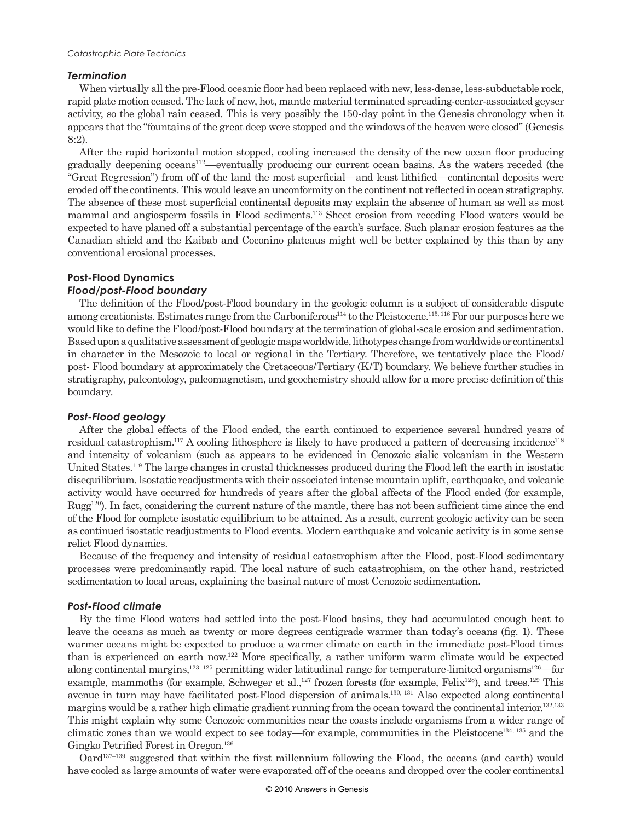### *Termination*

When virtually all the pre-Flood oceanic floor had been replaced with new, less-dense, less-subductable rock, rapid plate motion ceased. The lack of new, hot, mantle material terminated spreading-center-associated geyser activity, so the global rain ceased. This is very possibly the 150-day point in the Genesis chronology when it appears that the "fountains of the great deep were stopped and the windows of the heaven were closed" (Genesis 8:2).

After the rapid horizontal motion stopped, cooling increased the density of the new ocean floor producing gradually deepening oceans<sup>112</sup>—eventually producing our current ocean basins. As the waters receded (the "Great Regression") from off of the land the most superficial—and least lithified—continental deposits were eroded off the continents. This would leave an unconformity on the continent not reflected in ocean stratigraphy. The absence of these most superficial continental deposits may explain the absence of human as well as most mammal and angiosperm fossils in Flood sediments.113 Sheet erosion from receding Flood waters would be expected to have planed off a substantial percentage of the earth's surface. Such planar erosion features as the Canadian shield and the Kaibab and Coconino plateaus might well be better explained by this than by any conventional erosional processes.

# **Post-Flood Dynamics**

## *Flood/post-Flood boundary*

The definition of the Flood/post-Flood boundary in the geologic column is a subject of considerable dispute among creationists. Estimates range from the Carboniferous<sup>114</sup> to the Pleistocene.<sup>115, 116</sup> For our purposes here we would like to define the Flood/post-Flood boundary at the termination of global-scale erosion and sedimentation. Based upon a qualitative assessment of geologic maps worldwide, lithotypes change from worldwide or continental in character in the Mesozoic to local or regional in the Tertiary. Therefore, we tentatively place the Flood/ post- Flood boundary at approximately the Cretaceous/Tertiary (K/T) boundary. We believe further studies in stratigraphy, paleontology, paleomagnetism, and geochemistry should allow for a more precise definition of this boundary.

# *Post-Flood geology*

After the global effects of the Flood ended, the earth continued to experience several hundred years of residual catastrophism.<sup>117</sup> A cooling lithosphere is likely to have produced a pattern of decreasing incidence<sup>118</sup> and intensity of volcanism (such as appears to be evidenced in Cenozoic sialic volcanism in the Western United States.119 The large changes in crustal thicknesses produced during the Flood left the earth in isostatic disequilibrium. lsostatic readjustments with their associated intense mountain uplift, earthquake, and volcanic activity would have occurred for hundreds of years after the global affects of the Flood ended (for example,  $Rugg^{20}$ . In fact, considering the current nature of the mantle, there has not been sufficient time since the end of the Flood for complete isostatic equilibrium to be attained. As a result, current geologic activity can be seen as continued isostatic readjustments to Flood events. Modern earthquake and volcanic activity is in some sense relict Flood dynamics.

Because of the frequency and intensity of residual catastrophism after the Flood, post-Flood sedimentary processes were predominantly rapid. The local nature of such catastrophism, on the other hand, restricted sedimentation to local areas, explaining the basinal nature of most Cenozoic sedimentation.

# *Post-Flood climate*

By the time Flood waters had settled into the post-Flood basins, they had accumulated enough heat to leave the oceans as much as twenty or more degrees centigrade warmer than today's oceans (fig. 1). These warmer oceans might be expected to produce a warmer climate on earth in the immediate post-Flood times than is experienced on earth now.122 More specifically, a rather uniform warm climate would be expected along continental margins,<sup>123–125</sup> permitting wider latitudinal range for temperature-limited organisms<sup>126</sup>—for example, mammoths (for example, Schweger et al.,<sup>127</sup> frozen forests (for example, Felix<sup>128</sup>), and trees.<sup>129</sup> This avenue in turn may have facilitated post-Flood dispersion of animals.130, 131 Also expected along continental margins would be a rather high climatic gradient running from the ocean toward the continental interior.<sup>132,133</sup> This might explain why some Cenozoic communities near the coasts include organisms from a wider range of climatic zones than we would expect to see today—for example, communities in the Pleistocene134, 135 and the Gingko Petrified Forest in Oregon.136

Oard137–139 suggested that within the first millennium following the Flood, the oceans (and earth) would have cooled as large amounts of water were evaporated off of the oceans and dropped over the cooler continental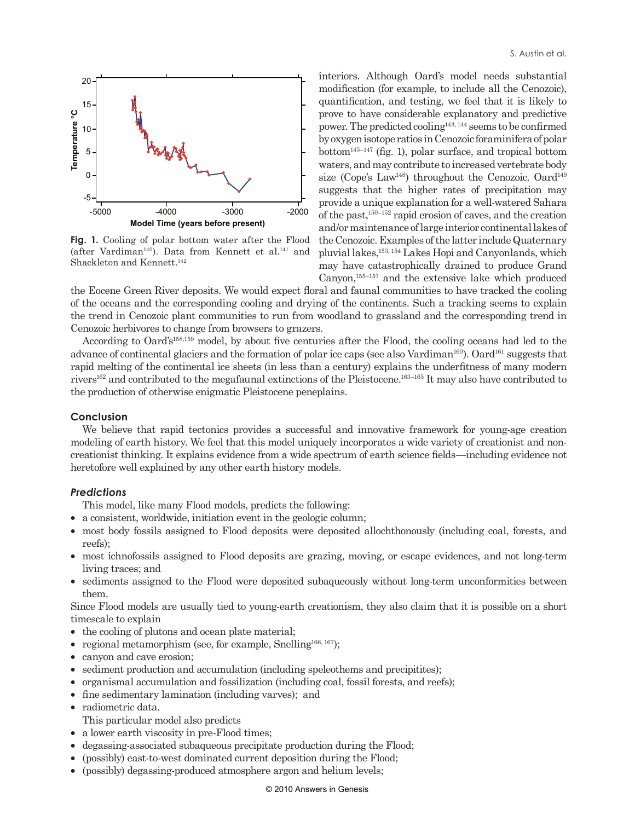

Fig. 1. Cooling of polar bottom water after the Flood (after Vardiman<sup>140</sup>). Data from Kennett et al.<sup>141</sup> and Shackleton and Kennett.<sup>142</sup>

interiors. Although Oard's model needs substantial modification (for example, to include all the Cenozoic), quantification, and testing, we feel that it is likely to prove to have considerable explanatory and predictive power. The predicted cooling<sup>143, 144</sup> seems to be confirmed by oxygen isotope ratios in Cenozoic foraminifera of polar  $bottom<sup>145–147</sup>$  (fig. 1), polar surface, and tropical bottom waters, and may contribute to increased vertebrate body size (Cope's Law<sup>148</sup>) throughout the Cenozoic. Oard<sup>149</sup> suggests that the higher rates of precipitation may provide a unique explanation for a well-watered Sahara of the past, $150-152$  rapid erosion of caves, and the creation and/or maintenance of large interior continental lakes of the Cenozoic. Examples of the latter include Quaternary pluvial lakes,153, 154 Lakes Hopi and Canyonlands, which may have catastrophically drained to produce Grand Canyon,155–157 and the extensive lake which produced

the Eocene Green River deposits. We would expect floral and faunal communities to have tracked the cooling of the oceans and the corresponding cooling and drying of the continents. Such a tracking seems to explain the trend in Cenozoic plant communities to run from woodland to grassland and the corresponding trend in Cenozoic herbivores to change from browsers to grazers.

According to Oard's158,159 model, by about five centuries after the Flood, the cooling oceans had led to the advance of continental glaciers and the formation of polar ice caps (see also Vardiman<sup>160</sup>). Oard<sup>161</sup> suggests that rapid melting of the continental ice sheets (in less than a century) explains the underfitness of many modern rivers162 and contributed to the megafaunal extinctions of the Pleistocene.163–165 It may also have contributed to the production of otherwise enigmatic Pleistocene peneplains.

## **Conclusion**

We believe that rapid tectonics provides a successful and innovative framework for young-age creation modeling of earth history. We feel that this model uniquely incorporates a wide variety of creationist and noncreationist thinking. It explains evidence from a wide spectrum of earth science fields—including evidence not heretofore well explained by any other earth history models.

#### *Predictions*

This model, like many Flood models, predicts the following:

- a consistent, worldwide, initiation event in the geologic column;
- most body fossils assigned to Flood deposits were deposited allochthonously (including coal, forests, and reefs);
- most ichnofossils assigned to Flood deposits are grazing, moving, or escape evidences, and not long-term living traces; and
- sediments assigned to the Flood were deposited subaqueously without long-term unconformities between them.

Since Flood models are usually tied to young-earth creationism, they also claim that it is possible on a short timescale to explain

- the cooling of plutons and ocean plate material;
- regional metamorphism (see, for example, Snelling<sup>166, 167</sup>);
- canyon and cave erosion;
- sediment production and accumulation (including speleothems and precipitities);
- organismal accumulation and fossilization (including coal, fossil forests, and reefs);
- fine sedimentary lamination (including varves); and
- radiometric data.
	- This particular model also predicts
- a lower earth viscosity in pre-Flood times;
- degassing-associated subaqueous precipitate production during the Flood;
- (possibly) east-to-west dominated current deposition during the Flood;
- (possibly) degassing-produced atmosphere argon and helium levels;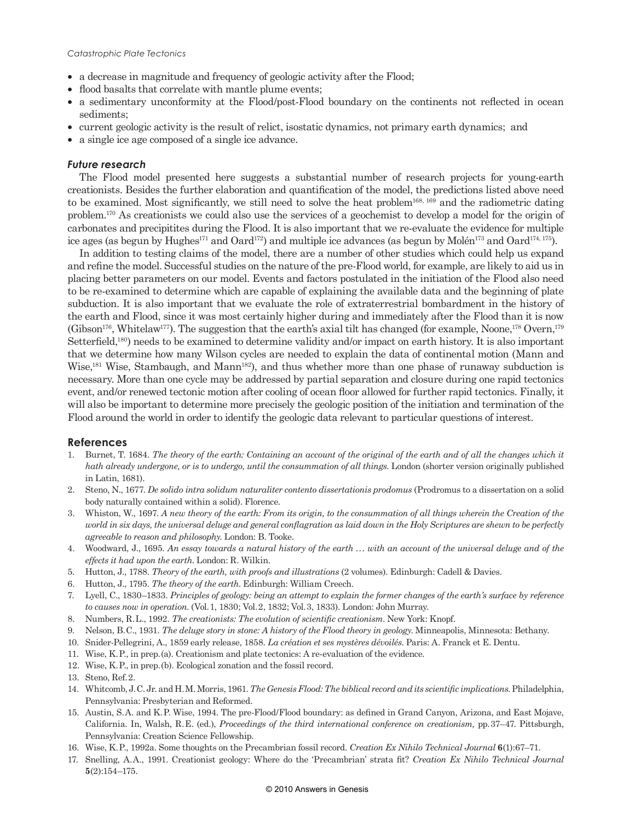#### *Catastrophic Plate Tectonics*

- a decrease in magnitude and frequency of geologic activity after the Flood;
- flood basalts that correlate with mantle plume events;
- a sedimentary unconformity at the Flood/post-Flood boundary on the continents not reflected in ocean sediments;
- current geologic activity is the result of relict, isostatic dynamics, not primary earth dynamics; and
- a single ice age composed of a single ice advance.

## *Future research*

The Flood model presented here suggests a substantial number of research projects for young-earth creationists. Besides the further elaboration and quantification of the model, the predictions listed above need to be examined. Most significantly, we still need to solve the heat problem168, 169 and the radiometric dating problem.170 As creationists we could also use the services of a geochemist to develop a model for the origin of carbonates and precipitites during the Flood. It is also important that we re-evaluate the evidence for multiple ice ages (as begun by Hughes<sup>171</sup> and Oard<sup>172</sup>) and multiple ice advances (as begun by Molén<sup>173</sup> and Oard<sup>174, 175</sup>).

In addition to testing claims of the model, there are a number of other studies which could help us expand and refine the model. Successful studies on the nature of the pre-Flood world, for example, are likely to aid us in placing better parameters on our model. Events and factors postulated in the initiation of the Flood also need to be re-examined to determine which are capable of explaining the available data and the beginning of plate subduction. It is also important that we evaluate the role of extraterrestrial bombardment in the history of the earth and Flood, since it was most certainly higher during and immediately after the Flood than it is now (Gibson<sup>176</sup>, Whitelaw<sup>177</sup>). The suggestion that the earth's axial tilt has changed (for example, Noone,<sup>178</sup> Overn,<sup>179</sup>) Setterfield,<sup>180</sup>) needs to be examined to determine validity and/or impact on earth history. It is also important that we determine how many Wilson cycles are needed to explain the data of continental motion (Mann and Wise,<sup>181</sup> Wise, Stambaugh, and Mann<sup>182</sup>), and thus whether more than one phase of runaway subduction is necessary. More than one cycle may be addressed by partial separation and closure during one rapid tectonics event, and/or renewed tectonic motion after cooling of ocean floor allowed for further rapid tectonics. Finally, it will also be important to determine more precisely the geologic position of the initiation and termination of the Flood around the world in order to identify the geologic data relevant to particular questions of interest.

# **References**

- 1. Burnet, T. 1684. *The theory of the earth: Containing an account of the original of the earth and of all the changes which it hath already undergone, or is to undergo, until the consummation of all things*. London (shorter version originally published in Latin, 1681).
- 2. Steno, N., 1677. *De solido intra solidum naturaliter contento dissertationis prodomus* (Prodromus to a dissertation on a solid body naturally contained within a solid). Florence.
- 3. Whiston, W., 1697. *A new theory of the earth: From its origin, to the consummation of all things wherein the Creation of the world in six days, the universal deluge and general conflagration as laid down in the Holy Scriptures are shewn to be perfectly agreeable to reason and philosophy*. London: B. Tooke.
- 4. Woodward, J., 1695. *An essay towards a natural history of the earth . . . with an account of the universal deluge and of the effects it had upon the earth*. London: R. Wilkin.
- 5. Hutton, J., 1788. *Theory of the earth, with proofs and illustrations* (2 volumes). Edinburgh: Cadell & Davies.
- 6. Hutton, J., 1795. *The theory of the earth*. Edinburgh: William Creech.
- 7. Lyell, C., 1830–1833. *Principles of geology: being an attempt to explain the former changes of the earth's surface by reference to causes now in operation*. (Vol. 1, 1830; Vol. 2, 1832; Vol. 3, 1833). London: John Murray.
- 8. Numbers, R. L., 1992. *The creationists: The evolution of scientific creationism*. New York: Knopf.
- 9. Nelson, B. C., 1931. *The deluge story in stone: A history of the Flood theory in geology*. Minneapolis, Minnesota: Bethany.
- 10. Snider-Pellegrini, A., 1859 early release, 1858. *La création et ses mystères dévoilés*. Paris: A. Franck et E. Dentu.
- 11. Wise, K. P., in prep. (a). Creationism and plate tectonics: A re-evaluation of the evidence.
- 12. Wise, K. P., in prep. (b). Ecological zonation and the fossil record.
- 13. Steno, Ref. 2.
- 14. Whitcomb, J. C. Jr. and H. M. Morris, 1961. *The Genesis Flood: The biblical record and its scientific implications*. Philadelphia, Pennsylvania: Presbyterian and Reformed.
- 15. Austin, S. A. and K. P. Wise, 1994. The pre-Flood/Flood boundary: as defined in Grand Canyon, Arizona, and East Mojave, California. In, Walsh, R. E. (ed.), *Proceedings of the third international conference on creationism,* pp. 37–47. Pittsburgh, Pennsylvania: Creation Science Fellowship.
- 16. Wise, K. P., 1992a. Some thoughts on the Precambrian fossil record. *Creation Ex Nihilo Technical Journal* **6**(1):67–71.
- 17. Snelling, A. A., 1991. Creationist geology: Where do the 'Precambrian' strata fit? *Creation Ex Nihilo Technical Journal*  **5**(2):154–175.

#### © 2010 Answers in Genesis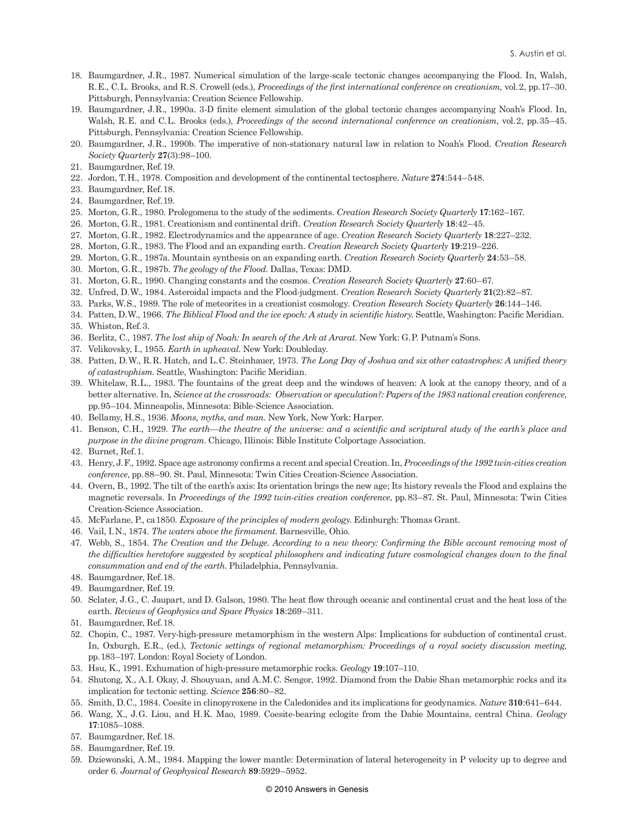- 18. Baumgardner, J. R., 1987. Numerical simulation of the large-scale tectonic changes accompanying the Flood. In, Walsh, R. E., C. L. Brooks, and R. S. Crowell (eds.), *Proceedings of the first international conference on creationism,* vol. 2, pp. 17–30. Pittsburgh, Pennsylvania: Creation Science Fellowship.
- 19. Baumgardner, J. R., 1990a. 3-D finite element simulation of the global tectonic changes accompanying Noah's Flood. In, Walsh, R. E. and C. L. Brooks (eds.), *Proceedings of the second international conference on creationism*, vol. 2, pp. 35–45. Pittsburgh, Pennsylvania: Creation Science Fellowship.
- 20. Baumgardner, J. R., 1990b. The imperative of non-stationary natural law in relation to Noah's Flood. *Creation Research Society Quarterly* **27**(3):98–100.
- 21. Baumgardner, Ref. 19.
- 22. Jordon, T. H., 1978. Composition and development of the continental tectosphere. *Nature* **274**:544–548.
- 23. Baumgardner, Ref. 18.
- 24. Baumgardner, Ref. 19.
- 25. Morton, G. R., 1980. Prolegomena to the study of the sediments. *Creation Research Society Quarterly* **17**:162–167.
- 26. Morton, G. R., 1981. Creationism and continental drift. *Creation Research Society Quarterly* **18**:42–45.
- 27. Morton, G. R., 1982. Electrodynamics and the appearance of age. *Creation Research Society Quarterly* **18**:227–232.
- 28. Morton, G. R., 1983. The Flood and an expanding earth. *Creation Research Society Quarterly* **19**:219–226.
- 29. Morton, G. R., 1987a. Mountain synthesis on an expanding earth. *Creation Research Society Quarterly* **24**:53–58.
- 30. Morton, G. R., 1987b. *The geology of the Flood*. Dallas, Texas: DMD.
- 31. Morton, G. R., 1990. Changing constants and the cosmos. *Creation Research Society Quarterly* **27**:60–67.
- 32. Unfred, D. W., 1984. Asteroidal impacts and the Flood-judgment. *Creation Research Society Quarterly* **21**(2):82–87.
- 33. Parks, W. S., 1989. The role of meteorites in a creationist cosmology. *Creation Research Society Quarterly* **26**:144–146.
- 34. Patten, D. W., 1966. *The Biblical Flood and the ice epoch: A study in scientific history*. Seattle, Washington: Pacific Meridian.
- 35. Whiston, Ref. 3.
- 36. Berlitz, C., 1987. *The lost ship of Noah: In search of the Ark at Ararat*. New York: G. P. Putnam's Sons.
- 37. Velikovsky, I., 1955. *Earth in upheaval*. New York: Doubleday.
- 38. Patten, D. W., R. R. Hatch, and L. C. Steinhauer, 1973. *The Long Day of Joshua and six other catastrophes: A unified theory of catastrophism*. Seattle, Washington: Pacific Meridian.
- 39. Whitelaw, R. L., 1983. The fountains of the great deep and the windows of heaven: A look at the canopy theory, and of a better alternative. In, *Science at the crossroads: Observation or speculation?: Papers of the 1983 national creation conference*, pp. 95–104. Minneapolis, Minnesota: Bible-Science Association.
- 40. Bellamy, H. S., 1936. *Moons, myths, and man.* New York, New York: Harper.
- 41. Benson, C. H., 1929. *The earth—the theatre of the universe: and a scientific and scriptural study of the earth's place and purpose in the divine program*. Chicago, Illinois: Bible Institute Colportage Association.
- 42. Burnet, Ref. 1.
- 43. Henry, J. F., 1992. Space age astronomy confirms a recent and special Creation. In, *Proceedings of the 1992 twin-cities creation conference*, pp. 88–90. St. Paul, Minnesota: Twin Cities Creation-Science Association.
- 44. Overn, B., 1992. The tilt of the earth's axis: Its orientation brings the new age; Its history reveals the Flood and explains the magnetic reversals. In *Proceedings of the 1992 twin-cities creation conference*, pp. 83–87. St. Paul, Minnesota: Twin Cities Creation-Science Association.
- 45. McFarlane, P., ca 1850. *Exposure of the principles of modern geology*. Edinburgh: Thomas Grant.
- 46. Vail, I. N., 1874. *The waters above the firmament*. Barnesville, Ohio.
- 47. Webb, S., 1854. *The Creation and the Deluge. According to a new theory: Confirming the Bible account removing most of the difficulties heretofore suggested by sceptical philosophers and indicating future cosmological changes down to the final consummation and end of the earth*. Philadelphia, Pennsylvania.
- 48. Baumgardner, Ref. 18.
- 49. Baumgardner, Ref. 19.
- 50. Sclater, J. G., C. Jaupart, and D. Galson, 1980. The heat flow through oceanic and continental crust and the heat loss of the earth. *Reviews of Geophysics and Space Physics* **18**:269–311.
- 51. Baumgardner, Ref. 18.
- 52. Chopin, C., 1987. Very-high-pressure metamorphism in the western Alps: Implications for subduction of continental crust. In, Oxburgh, E.R., (ed.), *Tectonic settings of regional metamorphism: Proceedings of a royal society discussion meeting,* pp. 183–197. London: Royal Society of London.
- 53. Hsu, K., 1991. Exhumation of high-pressure metamorphic rocks. *Geology* **19**:107–110.
- 54. Shutong, X., A. I. Okay, J. Shouyuan, and A. M. C. Sengor, 1992. Diamond from the Dabie Shan metamorphic rocks and its implication for tectonic setting. *Science* **256**:80–82.
- 55. Smith, D. C., 1984. Coesite in clinopyroxene in the Caledonides and its implications for geodynamics. *Nature* **310**:641–644.
- 56. Wang, X., J. G. Liou, and H. K. Mao, 1989. Coesite-bearing eclogite from the Dabie Mountains, central China. *Geology* **17**:1085–1088.
- 57. Baumgardner, Ref. 18.
- 58. Baumgardner, Ref. 19.
- 59. Dziewonski, A. M., 1984. Mapping the lower mantle: Determination of lateral heterogeneity in P velocity up to degree and order 6. *Journal of Geophysical Research* **89**:5929–5952.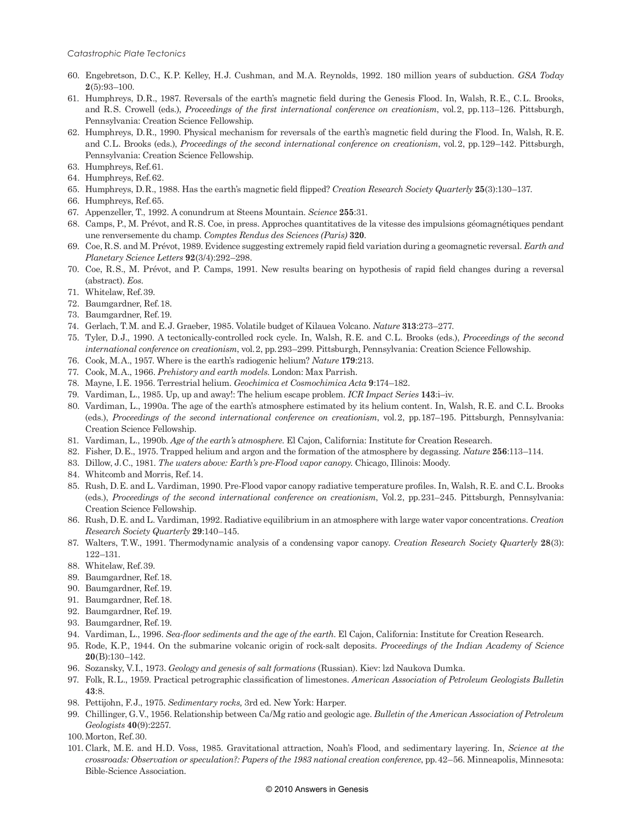- 60. Engebretson, D. C., K. P. Kelley, H. J. Cushman, and M. A. Reynolds, 1992. 180 million years of subduction. *GSA Today*  **2**(5):93–100.
- 61. Humphreys, D.R., 1987. Reversals of the earth's magnetic field during the Genesis Flood. In, Walsh, R.E., C.L. Brooks, and R. S. Crowell (eds.), *Proceedings of the first international conference on creationism*, vol. 2, pp. 113–126. Pittsburgh, Pennsylvania: Creation Science Fellowship.
- 62. Humphreys, D. R., 1990. Physical mechanism for reversals of the earth's magnetic field during the Flood. In, Walsh, R. E. and C.L. Brooks (eds.), *Proceedings of the second international conference on creationism*, vol. 2, pp. 129–142. Pittsburgh, Pennsylvania: Creation Science Fellowship.
- 63. Humphreys, Ref. 61.
- 64. Humphreys, Ref. 62.
- 65. Humphreys, D. R., 1988. Has the earth's magnetic field flipped? *Creation Research Society Quarterly* **25**(3):130–137.
- 66. Humphreys, Ref. 65.
- 67. Appenzeller, T., 1992. A conundrum at Steens Mountain. *Science* **255**:31.
- 68. Camps, P., M. Prévot, and R. S. Coe, in press. Approches quantitatives de la vitesse des impulsions géomagnétiques pendant une renversemente du champ. *Comptes Rendus des Sciences (Paris)* **320**.
- 69. Coe, R. S. and M. Prévot, 1989. Evidence suggesting extremely rapid field variation during a geomagnetic reversal. *Earth and Planetary Science Letters* **92**(3/4):292–298.
- 70. Coe, R. S., M. Prévot, and P. Camps, 1991. New results bearing on hypothesis of rapid field changes during a reversal (abstract). *Eos*.
- 71. Whitelaw, Ref. 39.
- 72. Baumgardner, Ref. 18.
- 73. Baumgardner, Ref. 19.
- 74. Gerlach, T. M. and E. J. Graeber, 1985. Volatile budget of Kilauea Volcano. *Nature* **313**:273–277.
- 75. Tyler, D. J., 1990. A tectonically-controlled rock cycle. In, Walsh, R. E. and C. L. Brooks (eds.), *Proceedings of the second international conference on creationism*, vol. 2, pp. 293–299. Pittsburgh, Pennsylvania: Creation Science Fellowship.
- 76. Cook, M. A., 1957. Where is the earth's radiogenic helium? *Nature* **179**:213.
- 77. Cook, M. A., 1966. *Prehistory and earth models*. London: Max Parrish.
- 78. Mayne, I. E. 1956. Terrestrial helium. *Geochimica et Cosmochimica Acta* **9**:174–182.
- 79. Vardiman, L., 1985. Up, up and away!: The helium escape problem. *ICR Impact Series* **143**:i–iv.
- 80. Vardiman, L., 1990a. The age of the earth's atmosphere estimated by its helium content. In, Walsh, R.E. and C.L. Brooks (eds.), *Proceedings of the second international conference on creationism*, vol. 2, pp. 187–195. Pittsburgh, Pennsylvania: Creation Science Fellowship.
- 81. Vardiman, L., 1990b. *Age of the earth's atmosphere*. El Cajon, California: Institute for Creation Research.
- 82. Fisher, D. E., 1975. Trapped helium and argon and the formation of the atmosphere by degassing. *Nature* **256**:113–114.
- 83. Dillow, J. C., 1981. *The waters above: Earth's pre-Flood vapor canopy*. Chicago, Illinois: Moody.
- 84. Whitcomb and Morris, Ref. 14.
- 85. Rush, D. E. and L. Vardiman, 1990. Pre-Flood vapor canopy radiative temperature profiles. In, Walsh, R. E. and C. L. Brooks (eds.), *Proceedings of the second international conference on creationism*, Vol. 2, pp. 231–245. Pittsburgh, Pennsylvania: Creation Science Fellowship.
- 86. Rush, D. E. and L. Vardiman, 1992. Radiative equilibrium in an atmosphere with large water vapor concentrations. *Creation Research Society Quarterly* **29**:140–145.
- 87. Walters, T. W., 1991. Thermodynamic analysis of a condensing vapor canopy. *Creation Research Society Quarterly* **28**(3): 122–131.
- 88. Whitelaw, Ref. 39.
- 89. Baumgardner, Ref. 18.
- 90. Baumgardner, Ref. 19.
- 91. Baumgardner, Ref. 18.
- 92. Baumgardner, Ref. 19.
- 93. Baumgardner, Ref. 19.
- 94. Vardiman, L., 1996. *Sea-floor sediments and the age of the earth*. El Cajon, California: Institute for Creation Research.
- 95. Rode, K. P., 1944. On the submarine volcanic origin of rock-salt deposits. *Proceedings of the Indian Academy of Science* **20**(B):130–142.
- 96. Sozansky, V. I., 1973. *Geology and genesis of salt formations* (Russian). Kiev: lzd Naukova Dumka.
- 97. Folk, R. L., 1959. Practical petrographic classification of limestones. *American Association of Petroleum Geologists Bulletin*  **43**:8.
- 98. Pettijohn, F. J., 1975. *Sedimentary rocks,* 3rd ed. New York: Harper.
- 99. Chillinger, G. V., 1956. Relationship between Ca/Mg ratio and geologic age. *Bulletin of the American Association of Petroleum Geologists* **40**(9):2257.
- 100. Morton, Ref. 30.
- 101. Clark, M. E. and H. D. Voss, 1985. Gravitational attraction, Noah's Flood, and sedimentary layering. In, *Science at the crossroads: Observation or speculation?: Papers of the 1983 national creation conference*, pp. 42–56. Minneapolis, Minnesota: Bible-Science Association.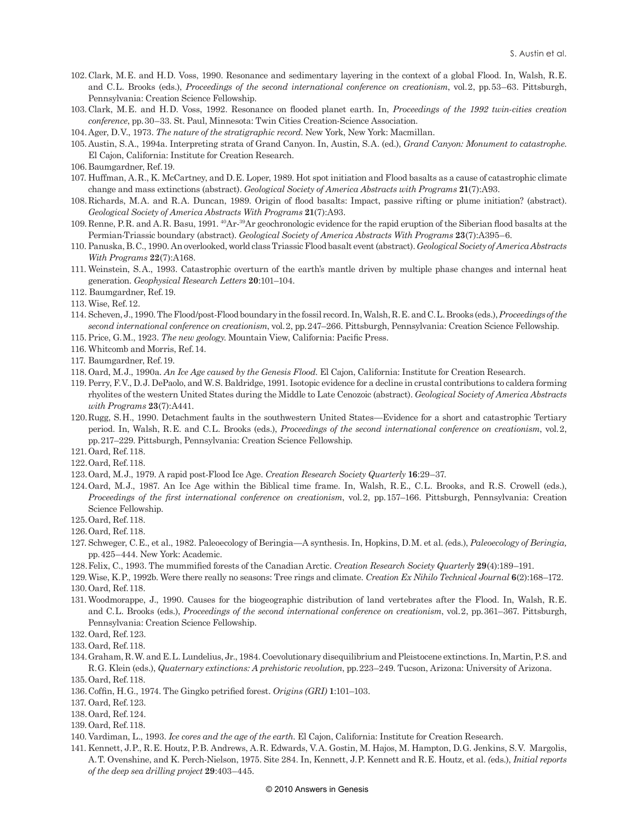- 102. Clark, M. E. and H. D. Voss, 1990. Resonance and sedimentary layering in the context of a global Flood. In, Walsh, R. E. and C. L. Brooks (eds.), *Proceedings of the second international conference on creationism*, vol. 2, pp. 53–63. Pittsburgh, Pennsylvania: Creation Science Fellowship.
- 103. Clark, M. E. and H. D. Voss, 1992. Resonance on flooded planet earth. In, *Proceedings of the 1992 twin-cities creation conference*, pp. 30–33. St. Paul, Minnesota: Twin Cities Creation-Science Association.
- 104. Ager, D. V., 1973. *The nature of the stratigraphic record*. New York, New York: Macmillan.
- 105.Austin, S. A., 1994a. Interpreting strata of Grand Canyon. In, Austin, S.A. (ed.), *Grand Canyon: Monument to catastrophe*. El Cajon, California: Institute for Creation Research.
- 106. Baumgardner, Ref. 19.
- 107. Huffman, A. R., K. McCartney, and D. E. Loper, 1989. Hot spot initiation and Flood basalts as a cause of catastrophic climate change and mass extinctions (abstract). *Geological Society of America Abstracts with Programs* **21**(7):A93.
- 108. Richards, M. A. and R. A. Duncan, 1989. Origin of flood basalts: Impact, passive rifting or plume initiation? (abstract). *Geological Society of America Abstracts With Programs* **21**(7):A93.
- 109. Renne, P. R. and A. R. Basu, 1991. 40Ar-39Ar geochronologic evidence for the rapid eruption of the Siberian flood basalts at the Permian-Triassic boundary (abstract). *Geological Society of America Abstracts With Programs* **23**(7):A395–6.
- 110. Panuska, B. C., 1990. An overlooked, world class Triassic Flood basalt event(abstract). *Geological Society of America Abstracts With Programs* **22**(7):A168.
- 111. Weinstein, S. A., 1993. Catastrophic overturn of the earth's mantle driven by multiple phase changes and internal heat generation. *Geophysical Research Letters* **20**:101–104.
- 112. Baumgardner, Ref. 19.
- 113. Wise, Ref. 12.
- 114. Scheven, J., 1990. The Flood/post-Flood boundary in the fossil record. In, Walsh, R. E. and C. L. Brooks (eds.), *Proceedings of the second international conference on creationism*, vol. 2, pp. 247–266. Pittsburgh, Pennsylvania: Creation Science Fellowship.
- 115. Price, G. M., 1923. *The new geology*. Mountain View, California: Pacific Press.
- 116. Whitcomb and Morris, Ref. 14.
- 117. Baumgardner, Ref. 19.
- 118. Oard, M. J., 1990a. *An Ice Age caused by the Genesis Flood*. El Cajon, California: Institute for Creation Research.
- 119. Perry, F. V., D. J. DePaolo, and W. S. Baldridge, 1991. Isotopic evidence for a decline in crustal contributions to caldera forming rhyolites of the western United States during the Middle to Late Cenozoic (abstract). *Geological Society of America Abstracts with Programs* **23**(7):A441.
- 120. Rugg, S. H., 1990. Detachment faults in the southwestern United States—Evidence for a short and catastrophic Tertiary period. In, Walsh, R.E. and C.L. Brooks (eds.), *Proceedings of the second international conference on creationism*, vol.2, pp. 217–229. Pittsburgh, Pennsylvania: Creation Science Fellowship.
- 121. Oard, Ref. 118.
- 122. Oard, Ref. 118.
- 123. Oard, M. J., 1979. A rapid post-Flood Ice Age. *Creation Research Society Quarterly* **16**:29–37.
- 124. Oard, M. J., 1987. An Ice Age within the Biblical time frame. In, Walsh, R. E., C. L. Brooks, and R. S. Crowell (eds.), *Proceedings of the first international conference on creationism*, vol. 2, pp. 157–166. Pittsburgh, Pennsylvania: Creation Science Fellowship.
- 125. Oard, Ref. 118.
- 126. Oard, Ref. 118.
- 127. Schweger, C. E., et al., 1982. Paleoecology of Beringia—A synthesis. In, Hopkins, D. M. et al. *(*eds.), *Paleoecology of Beringia,* pp. 425–444. New York: Academic.
- 128. Felix, C., 1993. The mummified forests of the Canadian Arctic. *Creation Research Society Quarterly* **29**(4):189–191.
- 129. Wise, K. P., 1992b. Were there really no seasons: Tree rings and climate. *Creation Ex Nihilo Technical Journal* **6**(2):168–172. 130. Oard, Ref. 118.
- 131. Woodmorappe, J., 1990. Causes for the biogeographic distribution of land vertebrates after the Flood. In, Walsh, R. E. and C.L. Brooks (eds.), *Proceedings of the second international conference on creationism*, vol. 2, pp. 361–367. Pittsburgh, Pennsylvania: Creation Science Fellowship.
- 132. Oard, Ref. 123.
- 133. Oard, Ref. 118.
- 134. Graham, R. W. and E. L. Lundelius, Jr., 1984. Coevolutionary disequilibrium and Pleistocene extinctions. In, Martin, P. S. and R. G. Klein (eds.), *Quaternary extinctions: A prehistoric revolution*, pp. 223–249. Tucson, Arizona: University of Arizona. 135. Oard, Ref. 118.
- 
- 136. Coffin, H. G., 1974. The Gingko petrified forest. *Origins (GRI)* **1**:101–103.
- 137. Oard, Ref. 123.
- 138. Oard, Ref. 124.
- 139. Oard, Ref. 118.
- 140. Vardiman, L., 1993. *Ice cores and the age of the earth*. El Cajon, California: Institute for Creation Research.
- 141. Kennett, J. P., R. E. Houtz, P. B. Andrews, A. R. Edwards, V. A. Gostin, M. Hajos, M. Hampton, D. G. Jenkins, S. V. Margolis, A. T. Ovenshine, and K. Perch-Nielson, 1975. Site 284. In, Kennett, J. P. Kennett and R. E. Houtz, et al. *(*eds.), *Initial reports of the deep sea drilling project* **29**:403–445.